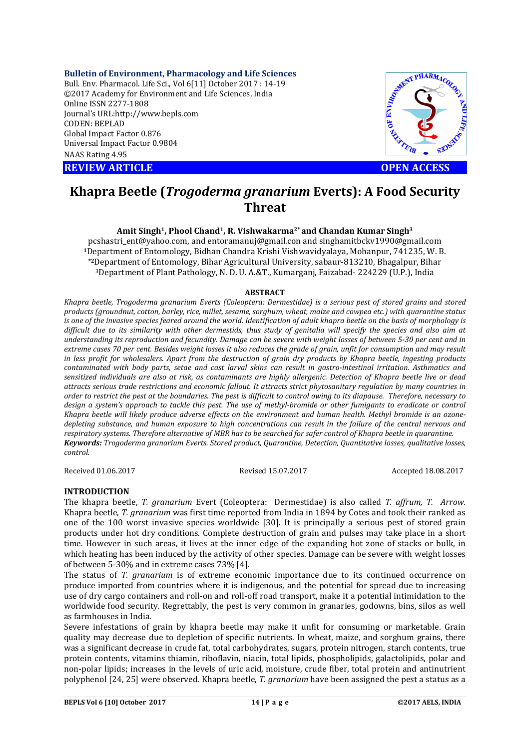**Bulletin of Environment, Pharmacology and Life Sciences**

Bull. Env. Pharmacol. Life Sci., Vol 6[11] October 2017 : 14-19 ©2017 Academy for Environment and Life Sciences, India Online ISSN 2277-1808 Journal's URL:http://www.bepls.com CODEN: BEPLAD Global Impact Factor 0.876 Universal Impact Factor 0.9804 NAAS Rating 4.95

**REVIEW ARTICLE CONSUMING A REVIEW ARTICLE** 



# **Khapra Beetle (***Trogoderma granarium* **Everts): A Food Security Threat**

#### **Amit Singh1, Phool Chand1, R. Vishwakarma2\* and Chandan Kumar Singh3**

pcshastri\_ent@yahoo.com, and entoramanuj@gmail.con and singhamitbckv1990@gmail.com **<sup>1</sup>**Department of Entomology, Bidhan Chandra Krishi Vishwavidyalaya, Mohanpur, 741235, W. B. **\*2**Department of Entomology, Bihar Agricultural University, sabaur-813210, Bhagalpur, Bihar 3Department of Plant Pathology, N. D. U. A.&T., Kumarganj, Faizabad- 224229 (U.P.), India

#### **ABSTRACT**

*Khapra beetle, Trogoderma granarium Everts (Coleoptera: Dermestidae) is a serious pest of stored grains and stored products (groundnut, cotton, barley, rice, millet, sesame, sorghum, wheat, maize and cowpea etc.) with quarantine status is one of the invasive species feared around the world. Identification of adult khapra beetle on the basis of morphology is difficult due to its similarity with other dermestids, thus study of genitalia will specify the species and also aim at understanding its reproduction and fecundity. Damage can be severe with weight losses of between 5-30 per cent and in extreme cases 70 per cent. Besides weight losses it also reduces the grade of grain, unfit for consumption and may result in less profit for wholesalers. Apart from the destruction of grain dry products by Khapra beetle, ingesting products contaminated with body parts, setae and cast larval skins can result in gastro-intestinal irritation. Asthmatics and sensitized individuals are also at risk, as contaminants are highly allergenic. Detection of Khapra beetle live or dead attracts serious trade restrictions and economic fallout. It attracts strict phytosanitary regulation by many countries in order to restrict the pest at the boundaries. The pest is difficult to control owing to its diapause. Therefore, necessary to*  design a system's approach to tackle this pest. The use of methyl-bromide or other fumigants to eradicate or control *Khapra beetle will likely produce adverse effects on the environment and human health. Methyl bromide is an ozonedepleting substance, and human exposure to high concentrations can result in the failure of the central nervous and respiratory systems. Therefore alternative of MBR has to be searched for safer control of Khapra beetle in quarantine. Keywords: Trogoderma granarium Everts. Stored product, Quarantine, Detection, Quantitative losses, qualitative losses, control.*

Received 01.06.2017 Revised 15.07.2017 Accepted 18.08.2017

# **INTRODUCTION**

The khapra beetle, *T. granarium* Evert (Coleoptera: Dermestidae) is also called *T. affrum, T. Arrow.*  Khapra beetle, *T. granarium* was first time reported from India in 1894 by Cotes and took their ranked as one of the 100 worst invasive species worldwide [30]. It is principally a serious pest of stored grain products under hot dry conditions. Complete destruction of grain and pulses may take place in a short time. However in such areas, it lives at the inner edge of the expanding hot zone of stacks or bulk, in which heating has been induced by the activity of other species. Damage can be severe with weight losses of between 5-30% and in extreme cases 73% [4].

The status of *T. granarium* is of extreme economic importance due to its continued occurrence on produce imported from countries where it is indigenous, and the potential for spread due to increasing use of dry cargo containers and roll-on and roll-off road transport, make it a potential intimidation to the worldwide food security. Regrettably, the pest is very common in granaries, godowns, bins, silos as well as farmhouses in India.

Severe infestations of grain by khapra beetle may make it unfit for consuming or marketable. Grain quality may decrease due to depletion of specific nutrients. In wheat, maize, and sorghum grains, there was a significant decrease in crude fat, total carbohydrates, sugars, protein nitrogen, starch contents, true protein contents, vitamins thiamin, riboflavin, niacin, total lipids, phospholipids, galactolipids, polar and non-polar lipids; increases in the levels of uric acid, moisture, crude fiber, total protein and antinutrient polyphenol [24, 25] were observed. Khapra beetle, *T. granarium* have been assigned the pest a status as a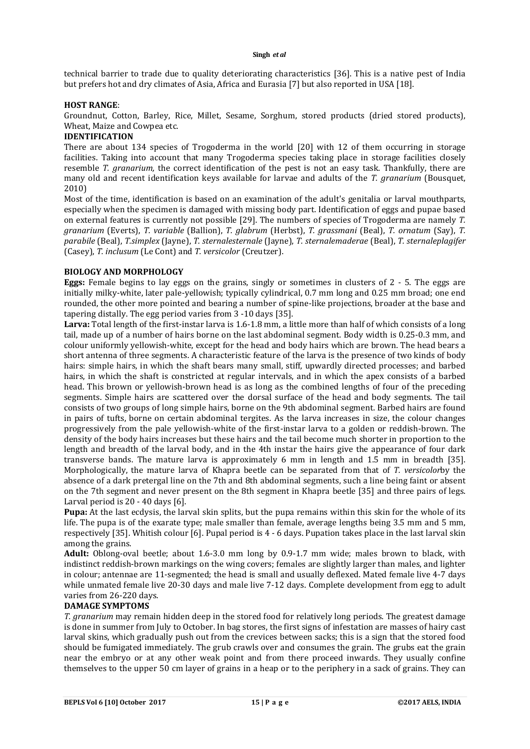technical barrier to trade due to quality deteriorating characteristics [36]. This is a native pest of India but prefers hot and dry climates of Asia, Africa and Eurasia [7] but also reported in USA [18].

#### **HOST RANGE**:

Groundnut, Cotton, Barley, Rice, Millet, Sesame, Sorghum, stored products (dried stored products), Wheat, Maize and Cowpea etc.

# **IDENTIFICATION**

There are about 134 species of Trogoderma in the world [20] with 12 of them occurring in storage facilities. Taking into account that many Trogoderma species taking place in storage facilities closely resemble *T. granarium,* the correct identification of the pest is not an easy task. Thankfully, there are many old and recent identification keys available for larvae and adults of the *T. granarium* (Bousquet, 2010)

Most of the time, identification is based on an examination of the adult's genitalia or larval mouthparts, especially when the specimen is damaged with missing body part. Identification of eggs and pupae based on external features is currently not possible [29]. The numbers of species of Trogoderma are namely *T. granarium* (Everts), *T. variable* (Ballion), *T. glabrum* (Herbst), *T. grassmani* (Beal), *T. ornatum* (Say), *T. parabile* (Beal), *T.simplex* (Jayne), *T. sternalesternale* (Jayne), *T. sternalemaderae* (Beal), *T. sternaleplagifer* (Casey), *T. inclusum* (Le Cont) and *T. versicolor* (Creutzer).

#### **BIOLOGY AND MORPHOLOGY**

**Eggs:** Female begins to lay eggs on the grains, singly or sometimes in clusters of 2 - 5. The eggs are initially milky-white, later pale-yellowish; typically cylindrical, 0.7 mm long and 0.25 mm broad; one end rounded, the other more pointed and bearing a number of spine-like projections, broader at the base and tapering distally. The egg period varies from 3 -10 days [35].

**Larva:** Total length of the first-instar larva is 1.6-1.8 mm, a little more than half of which consists of a long tail, made up of a number of hairs borne on the last abdominal segment. Body width is 0.25-0.3 mm, and colour uniformly yellowish-white, except for the head and body hairs which are brown. The head bears a short antenna of three segments. A characteristic feature of the larva is the presence of two kinds of body hairs: simple hairs, in which the shaft bears many small, stiff, upwardly directed processes; and barbed hairs, in which the shaft is constricted at regular intervals, and in which the apex consists of a barbed head. This brown or yellowish-brown head is as long as the combined lengths of four of the preceding segments. Simple hairs are scattered over the dorsal surface of the head and body segments. The tail consists of two groups of long simple hairs, borne on the 9th abdominal segment. Barbed hairs are found in pairs of tufts, borne on certain abdominal tergites. As the larva increases in size, the colour changes progressively from the pale yellowish-white of the first-instar larva to a golden or reddish-brown. The density of the body hairs increases but these hairs and the tail become much shorter in proportion to the length and breadth of the larval body, and in the 4th instar the hairs give the appearance of four dark transverse bands. The mature larva is approximately 6 mm in length and 1.5 mm in breadth [35]. Morphologically, the mature larva of Khapra beetle can be separated from that of *T. versicolor*by the absence of a dark pretergal line on the 7th and 8th abdominal segments, such a line being faint or absent on the 7th segment and never present on the 8th segment in Khapra beetle [35] and three pairs of legs. Larval period is 20 - 40 days [6].

**Pupa:** At the last ecdysis, the larval skin splits, but the pupa remains within this skin for the whole of its life. The pupa is of the exarate type; male smaller than female, average lengths being 3.5 mm and 5 mm, respectively [35]. Whitish colour [6]. Pupal period is 4 - 6 days. Pupation takes place in the last larval skin among the grains.

**Adult:** Oblong-oval beetle; about 1.6-3.0 mm long by 0.9-1.7 mm wide; males brown to black, with indistinct reddish-brown markings on the wing covers; females are slightly larger than males, and lighter in colour; antennae are 11-segmented; the head is small and usually deflexed. Mated female live 4-7 days while unmated female live 20-30 days and male live 7-12 days. Complete development from egg to adult varies from 26-220 days.

#### **DAMAGE SYMPTOMS**

*T. granarium* may remain hidden deep in the stored food for relatively long periods. The greatest damage is done in summer from July to October. In bag stores, the first signs of infestation are masses of hairy cast larval skins, which gradually push out from the crevices between sacks; this is a sign that the stored food should be fumigated immediately. The grub crawls over and consumes the grain. The grubs eat the grain near the embryo or at any other weak point and from there proceed inwards. They usually confine themselves to the upper 50 cm layer of grains in a heap or to the periphery in a sack of grains. They can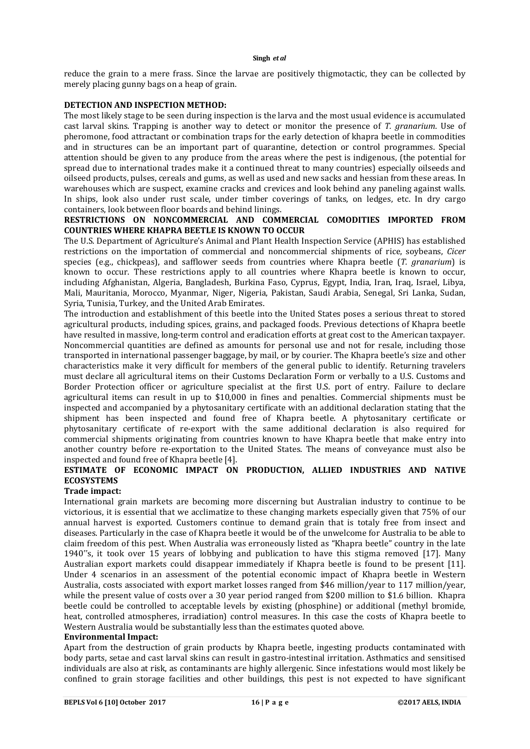reduce the grain to a mere frass. Since the larvae are positively thigmotactic, they can be collected by merely placing gunny bags on a heap of grain.

#### **DETECTION AND INSPECTION METHOD:**

The most likely stage to be seen during inspection is the larva and the most usual evidence is accumulated cast larval skins. Trapping is another way to detect or monitor the presence of *T. granarium*. Use of pheromone, food attractant or combination traps for the early detection of khapra beetle in commodities and in structures can be an important part of quarantine, detection or control programmes. Special attention should be given to any produce from the areas where the pest is indigenous, (the potential for spread due to international trades make it a continued threat to many countries) especially oilseeds and oilseed products, pulses, cereals and gums, as well as used and new sacks and hessian from these areas. In warehouses which are suspect, examine cracks and crevices and look behind any paneling against walls. In ships, look also under rust scale, under timber coverings of tanks, on ledges, etc. In dry cargo containers, look between floor boards and behind linings.

#### **RESTRICTIONS ON NONCOMMERCIAL AND COMMERCIAL COMODITIES IMPORTED FROM COUNTRIES WHERE KHAPRA BEETLE IS KNOWN TO OCCUR**

The U.S. Department of Agriculture's Animal and Plant Health Inspection Service (APHIS) has established restrictions on the importation of commercial and noncommercial shipments of rice, soybeans, *Cicer*  species (e.g., chickpeas), and safflower seeds from countries where Khapra beetle (*T. granarium*) is known to occur. These restrictions apply to all countries where Khapra beetle is known to occur, including Afghanistan, Algeria, Bangladesh, Burkina Faso, Cyprus, Egypt, India, Iran, Iraq, Israel, Libya, Mali, Mauritania, Morocco, Myanmar, Niger, Nigeria, Pakistan, Saudi Arabia, Senegal, Sri Lanka, Sudan, Syria, Tunisia, Turkey, and the United Arab Emirates.

The introduction and establishment of this beetle into the United States poses a serious threat to stored agricultural products, including spices, grains, and packaged foods. Previous detections of Khapra beetle have resulted in massive, long-term control and eradication efforts at great cost to the American taxpayer. Noncommercial quantities are defined as amounts for personal use and not for resale, including those transported in international passenger baggage, by mail, or by courier. The Khapra beetle's size and other characteristics make it very difficult for members of the general public to identify. Returning travelers must declare all agricultural items on their Customs Declaration Form or verbally to a U.S. Customs and Border Protection officer or agriculture specialist at the first U.S. port of entry. Failure to declare agricultural items can result in up to \$10,000 in fines and penalties. Commercial shipments must be inspected and accompanied by a phytosanitary certificate with an additional declaration stating that the shipment has been inspected and found free of Khapra beetle. A phytosanitary certificate or phytosanitary certificate of re-export with the same additional declaration is also required for commercial shipments originating from countries known to have Khapra beetle that make entry into another country before re-exportation to the United States. The means of conveyance must also be inspected and found free of Khapra beetle [4].

# **ESTIMATE OF ECONOMIC IMPACT ON PRODUCTION, ALLIED INDUSTRIES AND NATIVE ECOSYSTEMS**

# **Trade impact:**

International grain markets are becoming more discerning but Australian industry to continue to be victorious, it is essential that we acclimatize to these changing markets especially given that 75% of our annual harvest is exported. Customers continue to demand grain that is totaly free from insect and diseases. Particularly in the case of Khapra beetle it would be of the unwelcome for Australia to be able to claim freedom of this pest. When Australia was erroneously listed as "Khapra beetle" country in the late 1940"s, it took over 15 years of lobbying and publication to have this stigma removed [17]. Many Australian export markets could disappear immediately if Khapra beetle is found to be present [11]. Under 4 scenarios in an assessment of the potential economic impact of Khapra beetle in Western Australia, costs associated with export market losses ranged from \$46 million/year to 117 million/year, while the present value of costs over a 30 year period ranged from \$200 million to \$1.6 billion. Khapra beetle could be controlled to acceptable levels by existing (phosphine) or additional (methyl bromide, heat, controlled atmospheres, irradiation) control measures. In this case the costs of Khapra beetle to Western Australia would be substantially less than the estimates quoted above.

#### **Environmental Impact:**

Apart from the destruction of grain products by Khapra beetle, ingesting products contaminated with body parts, setae and cast larval skins can result in gastro-intestinal irritation. Asthmatics and sensitised individuals are also at risk, as contaminants are highly allergenic. Since infestations would most likely be confined to grain storage facilities and other buildings, this pest is not expected to have significant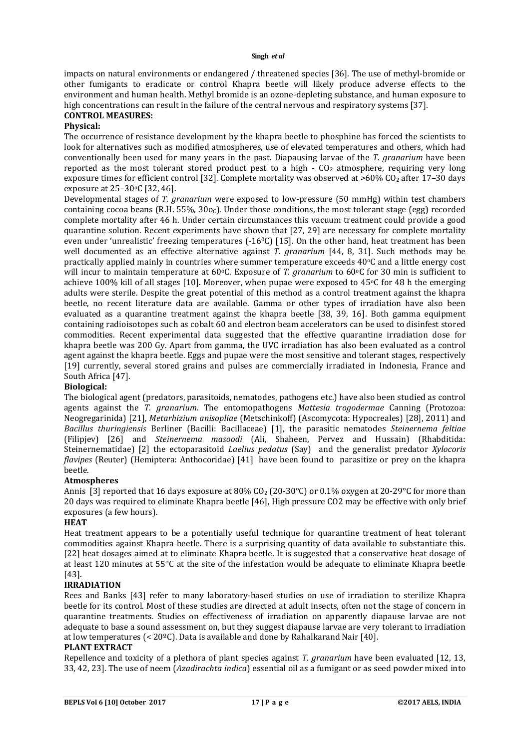impacts on natural environments or endangered / threatened species [36]. The use of methyl-bromide or other fumigants to eradicate or control Khapra beetle will likely produce adverse effects to the environment and human health. Methyl bromide is an ozone-depleting substance, and human exposure to high concentrations can result in the failure of the central nervous and respiratory systems [37].

#### **CONTROL MEASURES:**

#### **Physical:**

The occurrence of resistance development by the khapra beetle to phosphine has forced the scientists to look for alternatives such as modified atmospheres, use of elevated temperatures and others, which had conventionally been used for many years in the past. Diapausing larvae of the *T. granarium* have been reported as the most tolerant stored product pest to a high  $\cdot$  CO<sub>2</sub> atmosphere, requiring very long exposure times for efficient control [32]. Complete mortality was observed at  $>60\%$  CO<sub>2</sub> after 17-30 days exposure at 25-30°C [32, 46].

Developmental stages of *T. granarium* were exposed to low-pressure (50 mmHg) within test chambers containing cocoa beans (R.H. 55%,  $30\degree$ ). Under those conditions, the most tolerant stage (egg) recorded complete mortality after 46 h. Under certain circumstances this vacuum treatment could provide a good quarantine solution. Recent experiments have shown that [27, 29] are necessary for complete mortality even under 'unrealistic' freezing temperatures (-16<sup>o</sup>C) [15]. On the other hand, heat treatment has been well documented as an effective alternative against *T. granarium* [44, 8, 31]. Such methods may be practically applied mainly in countries where summer temperature exceeds 40oC and a little energy cost will incur to maintain temperature at 60°C. Exposure of *T. granarium* to 60°C for 30 min is sufficient to achieve 100% kill of all stages [10]. Moreover, when pupae were exposed to  $45^{\circ}$ C for 48 h the emerging adults were sterile. Despite the great potential of this method as a control treatment against the khapra beetle, no recent literature data are available. Gamma or other types of irradiation have also been evaluated as a quarantine treatment against the khapra beetle [38, 39, 16]. Both gamma equipment containing radioisotopes such as cobalt 60 and electron beam accelerators can be used to disinfest stored commodities. Recent experimental data suggested that the effective quarantine irradiation dose for khapra beetle was 200 Gy. Apart from gamma, the UVC irradiation has also been evaluated as a control agent against the khapra beetle. Eggs and pupae were the most sensitive and tolerant stages, respectively [19] currently, several stored grains and pulses are commercially irradiated in Indonesia, France and South Africa [47].

#### **Biological:**

The biological agent (predators, parasitoids, nematodes, pathogens etc.) have also been studied as control agents against the *T. granarium*. The entomopathogens *Mattesia trogodermae* Canning (Protozoa: Neogregarinida) [21], *Metarhizium anisopliae* (Metschinkoff) (Ascomycota: Hypocreales) [28], 2011) and *Bacillus thuringiensis* Berliner (Bacilli: Bacillaceae) [1], the parasitic nematodes *Steinernema feltiae* (Filipjev) [26] and *Steinernema masoodi* (Ali, Shaheen, Pervez and Hussain) (Rhabditida: Steinernematidae) [2] the ectoparasitoid *Laelius pedatus* (Say) and the generalist predator *Xylocoris flavipes* (Reuter) (Hemiptera: Anthocoridae) [41] have been found to parasitize or prey on the khapra beetle.

# **Atmospheres**

Annis [3] reported that 16 days exposure at 80% CO<sub>2</sub> (20-30°C) or 0.1% oxygen at 20-29°C for more than 20 days was required to eliminate Khapra beetle [46], High pressure CO2 may be effective with only brief exposures (a few hours).

#### **HEAT**

Heat treatment appears to be a potentially useful technique for quarantine treatment of heat tolerant commodities against Khapra beetle. There is a surprising quantity of data available to substantiate this. [22] heat dosages aimed at to eliminate Khapra beetle. It is suggested that a conservative heat dosage of at least 120 minutes at 55°C at the site of the infestation would be adequate to eliminate Khapra beetle [43].

# **IRRADIATION**

Rees and Banks [43] refer to many laboratory-based studies on use of irradiation to sterilize Khapra beetle for its control. Most of these studies are directed at adult insects, often not the stage of concern in quarantine treatments. Studies on effectiveness of irradiation on apparently diapause larvae are not adequate to base a sound assessment on, but they suggest diapause larvae are very tolerant to irradiation at low temperatures (< 20ºC). Data is available and done by Rahalkarand Nair [40].

# **PLANT EXTRACT**

Repellence and toxicity of a plethora of plant species against *T. granarium* have been evaluated [12, 13, 33, 42, 23]. The use of neem (*Azadirachta indica*) essential oil as a fumigant or as seed powder mixed into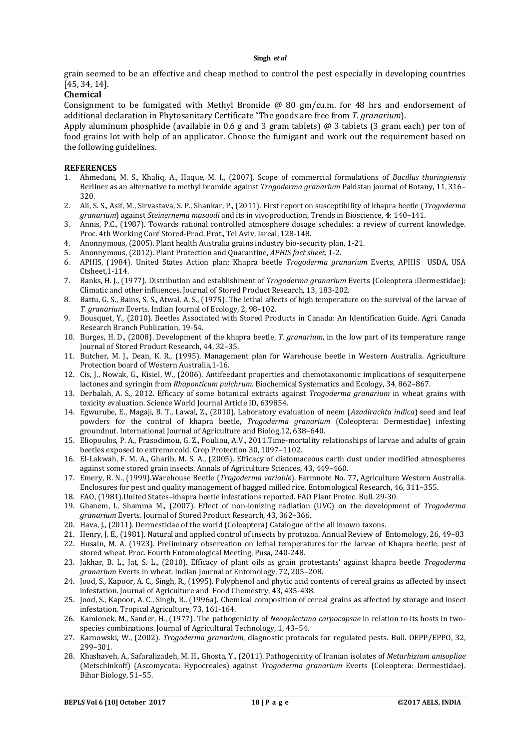grain seemed to be an effective and cheap method to control the pest especially in developing countries [45, 34, 14].

#### **Chemical**

Consignment to be fumigated with Methyl Bromide @ 80 gm/cu.m. for 48 hrs and endorsement of additional declaration in Phytosanitary Certificate "The goods are free from *T. granarium*).

Apply aluminum phosphide (available in 0.6 g and 3 gram tablets) @ 3 tablets (3 gram each) per ton of food grains lot with help of an applicator. Choose the fumigant and work out the requirement based on the following guidelines.

#### **REFERENCES**

- 1. Ahmedani, M. S., Khaliq, A., Haque, M. I., (2007). Scope of commercial formulations of *Bacillus thuringiensis* Berliner as an alternative to methyl bromide against *Trogoderma granarium* Pakistan journal of Botany, 11, 316– 320.
- 2. Ali, S. S., Asif, M., Sirvastava, S. P., Shankar, P., (2011). First report on susceptibility of khapra beetle (*Trogoderma granarium*) against *Steinernema masoodi* and its in vivoproduction, Trends in Bioscience, **4**: 140–141.
- 3. Annis, P.C., (1987). Towards rational controlled atmosphere dosage schedules: a review of current knowledge. Proc. 4th Working Conf Stored-Prod. Prot., Tel Aviv, Isreal, 128-148.
- 4. Anonnymous, (2005). Plant health Australia grains industry bio-security plan, 1-21.
- 5. Anonnymous, (2012). Plant Protection and Quarantine, *APHIS fact sheet,* 1-2.
- 6. APHIS, (1984). United States Action plan; Khapra beetle *Trogoderma granarium* Everts, APHIS USDA, USA Ctsheet,1-114.
- 7. Banks, H. J., (1977). Distribution and establishment of *Trogoderma granarium* Everts (Coleoptera :Dermestidae): Climatic and other influences. Journal of Stored Product Research, 13, 183-202.
- 8. Battu, G. S., Bains, S. S., Atwal, A. S., (1975). The lethal affects of high temperature on the survival of the larvae of *T. granarium* Everts. Indian Journal of Ecology, 2, 98–102.
- 9. Bousquet, Y., (2010). Beetles Associated with Stored Products in Canada: An Identification Guide. Agri. Canada Research Branch Publication, 19-54.
- 10. Burges, H. D., (2008). Development of the khapra beetle, *T. granarium*, in the low part of its temperature range Journal of Stored Product Research, 44, 32–35.
- 11. Butcher, M. J., Dean, K. R., (1995). Management plan for Warehouse beetle in Western Australia. Agriculture Protection board of Western Australia,1-16.
- 12. Cis, J., Nowak, G., Kisiel, W., (2006). Antifeedant properties and chemotaxonomic implications of sesquiterpene lactones and syringin from *Rhaponticum pulchrum*. Biochemical Systematics and Ecology, 34, 862–867.
- 13. Derbalah, A. S., 2012. Efficacy of some botanical extracts against *Trogoderma granarium* in wheat grains with toxicity evaluation. Science World Journal Article ID, 639854.
- 14. Egwurube, E., Magaji, B. T., Lawal, Z., (2010). Laboratory evaluation of neem (*Azadirachta indica*) seed and leaf powders for the control of khapra beetle, *Trogoderma granarium* (Coleoptera: Dermestidae) infesting groundnut. International Journal of Agriculture and Biolog,12, 638–640.
- 15. Eliopoulos, P. A., Prasodimou, G. Z., Pouliou, A.V., 2011.Time-mortality relationships of larvae and adults of grain beetles exposed to extreme cold. Crop Protection 30, 1097–1102.
- 16. El-Lakwah, F. M. A., Gharib, M. S. A., (2005). Efficacy of diatomaceous earth dust under modified atmospheres against some stored grain insects. Annals of Agriculture Sciences, 43, 449–460.
- 17. Emery, R. N., (1999).Warehouse Beetle (*Trogoderma variable*). Farmnote No. 77, Agriculture Western Australia. Enclosures for pest and quality management of bagged milled rice. Entomological Research, 46, 311–355.
- 18. FAO, (1981).United States–khapra beetle infestations reported. FAO Plant Protec. Bull. 29-30.
- 19. Ghanem, I., Shamma M., (2007). Effect of non-ionizing radiation (UVC) on the development of *Trogoderma granarium* Everts. Journal of Stored Product Research, 43, 362–366.
- 20. Hava, J., (2011). Dermestidae of the world (Coleoptera) Catalogue of the all known taxons.
- 21. Henry, J. E., (1981). Natural and applied control of insects by protozoa. Annual Review of Entomology, 26, 49–83
- 22. Husain, M. A. (1923). Preliminary observation on lethal temperatures for the larvae of Khapra beetle, pest of stored wheat. Proc. Fourth Entomological Meeting, Pusa, 240-248.
- 23. Jakhar, B. L., Jat, S. L., (2010). Efficacy of plant oils as grain protestants' against khapra beetle *Trogoderma granarium* Everts in wheat. Indian Journal of Entomology, 72, 205–208.
- 24. Jood, S., Kapoor, A. C., Singh, R., (1995). Polyphenol and phytic acid contents of cereal grains as affected by insect infestation. Journal of Agriculture and Food Chemestry, 43, 435-438.
- 25. Jood, S., Kapoor, A. C., Singh, R., (1996a). Chemical composition of cereal grains as affected by storage and insect infestation. Tropical Agriculture, 73, 161-164.
- 26. Kamionek, M., Sander, H., (1977). The pathogenicity of *Neoaplectana carpocapsae* in relation to its hosts in twospecies combinations. Journal of Agricultural Technology, 1, 43–54.
- 27. Karnowski, W., (2002). *Trogoderma granarium*, diagnostic protocols for regulated pests. Bull. OEPP/EPPO, 32, 299–301.
- 28. Khashaveh, A., Safaralizadeh, M. H., Ghosta, Y., (2011). Pathogenicity of Iranian isolates of *Metarhizium anisopliae* (Metschinkoff) (Ascomycota: Hypocreales) against *Trogoderma granarium* Everts (Coleoptera: Dermestidae). Bihar Biology, 51–55.